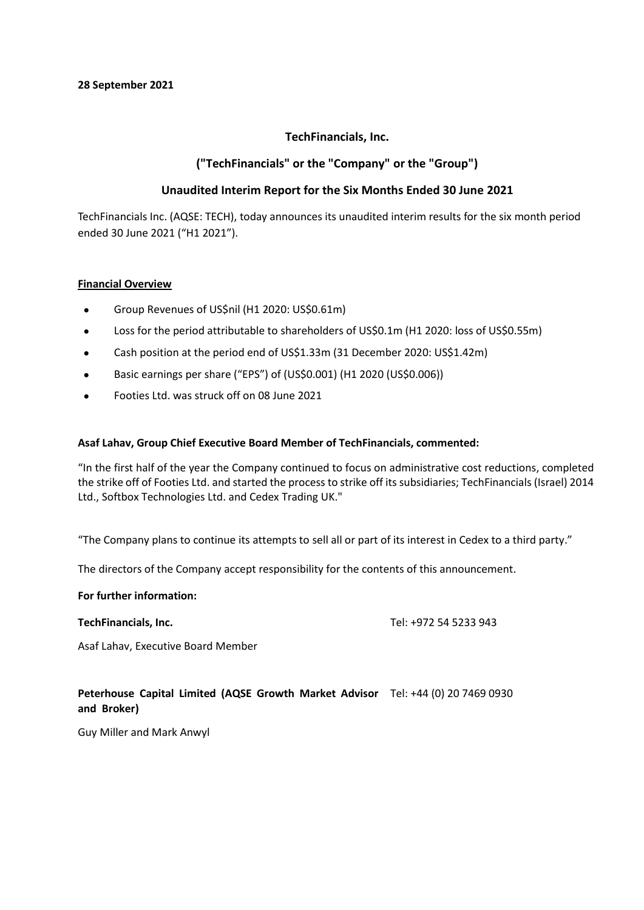# **TechFinancials, Inc.**

# **("TechFinancials" or the "Company" or the "Group")**

# **Unaudited Interim Report for the Six Months Ended 30 June 2021**

TechFinancials Inc. (AQSE: TECH), today announces its unaudited interim results for the six month period ended 30 June 2021 ("H1 2021").

# **Financial Overview**

- Group Revenues of US\$nil (H1 2020: US\$0.61m)
- Loss for the period attributable to shareholders of US\$0.1m (H1 2020: loss of US\$0.55m)
- Cash position at the period end of US\$1.33m (31 December 2020: US\$1.42m)
- Basic earnings per share ("EPS") of (US\$0.001) (H1 2020 (US\$0.006))
- Footies Ltd. was struck off on 08 June 2021

# **Asaf Lahav, Group Chief Executive Board Member of TechFinancials, commented:**

"In the first half of the year the Company continued to focus on administrative cost reductions, completed the strike off of Footies Ltd. and started the process to strike off its subsidiaries; TechFinancials (Israel) 2014 Ltd., Softbox Technologies Ltd. and Cedex Trading UK."

"The Company plans to continue its attempts to sell all or part of its interest in Cedex to a third party."

The directors of the Company accept responsibility for the contents of this announcement.

### **For further information:**

**TechFinancials, Inc.** Tel: +972 54 5233 943

Asaf Lahav, Executive Board Member

# **Peterhouse Capital Limited (AQSE Growth Market Advisor**  Tel: +44 (0) 20 7469 0930 **and Broker)**

Guy Miller and Mark Anwyl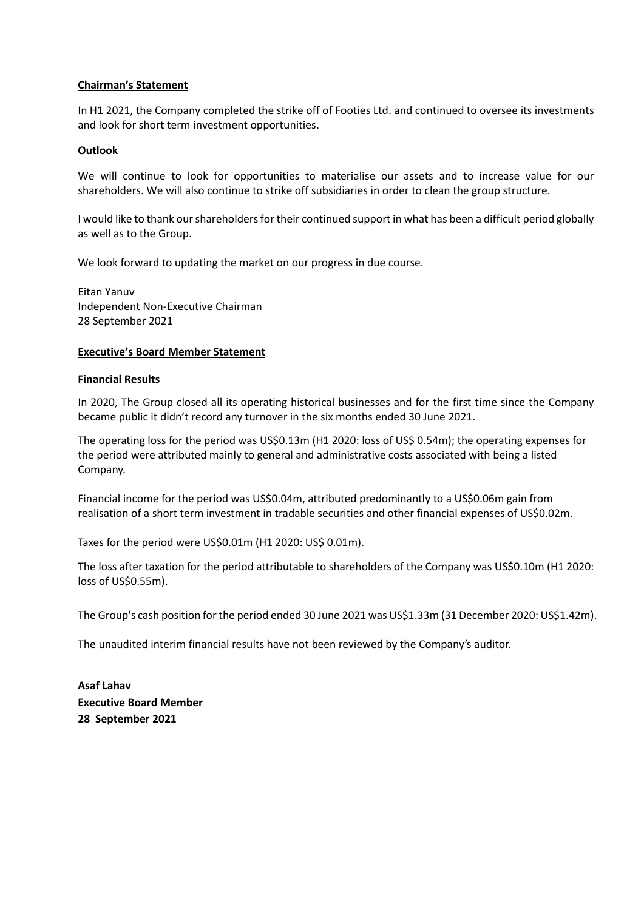## **Chairman's Statement**

In H1 2021, the Company completed the strike off of Footies Ltd. and continued to oversee its investments and look for short term investment opportunities.

## **Outlook**

We will continue to look for opportunities to materialise our assets and to increase value for our shareholders. We will also continue to strike off subsidiaries in order to clean the group structure.

I would like to thank our shareholders for their continued support in what has been a difficult period globally as well as to the Group.

We look forward to updating the market on our progress in due course.

Eitan Yanuv Independent Non-Executive Chairman 28 September 2021

### **Executive's Board Member Statement**

### **Financial Results**

In 2020, The Group closed all its operating historical businesses and for the first time since the Company became public it didn't record any turnover in the six months ended 30 June 2021.

The operating loss for the period was US\$0.13m (H1 2020: loss of US\$ 0.54m); the operating expenses for the period were attributed mainly to general and administrative costs associated with being a listed Company.

Financial income for the period was US\$0.04m, attributed predominantly to a US\$0.06m gain from realisation of a short term investment in tradable securities and other financial expenses of US\$0.02m.

Taxes for the period were US\$0.01m (H1 2020: US\$ 0.01m).

The loss after taxation for the period attributable to shareholders of the Company was US\$0.10m (H1 2020: loss of US\$0.55m).

The Group's cash position for the period ended 30 June 2021 was US\$1.33m (31 December 2020: US\$1.42m).

The unaudited interim financial results have not been reviewed by the Company's auditor.

**Asaf Lahav Executive Board Member 28 September 2021**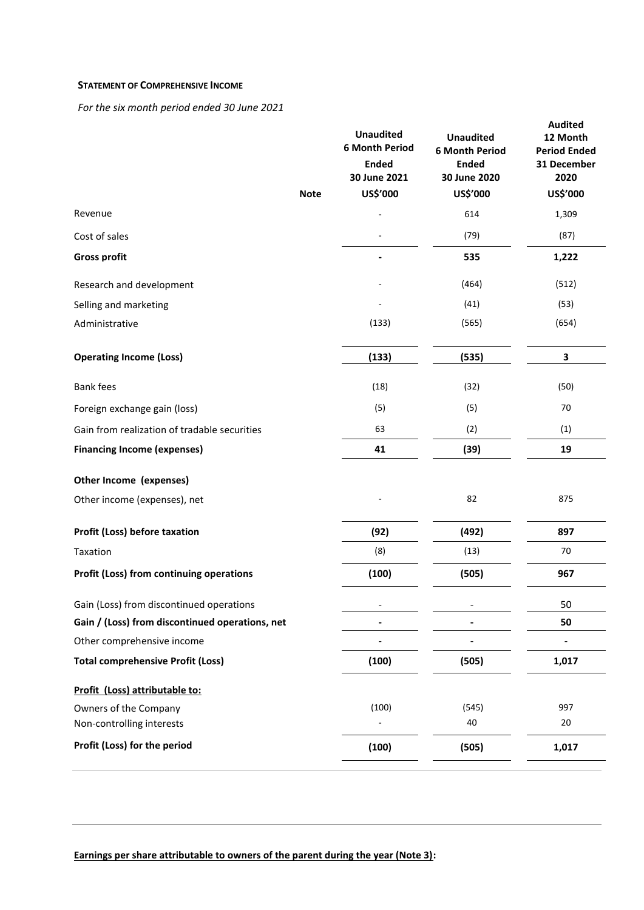### **STATEMENT OF COMPREHENSIVE INCOME**

*For the six month period ended 30 June 2021*

| <b>Note</b>                                     | <b>Unaudited</b><br><b>6 Month Period</b><br><b>Ended</b><br>30 June 2021<br>US\$'000 | <b>Unaudited</b><br><b>6 Month Period</b><br><b>Ended</b><br>30 June 2020<br>US\$'000 | <b>Audited</b><br>12 Month<br><b>Period Ended</b><br>31 December<br>2020<br>US\$'000 |
|-------------------------------------------------|---------------------------------------------------------------------------------------|---------------------------------------------------------------------------------------|--------------------------------------------------------------------------------------|
| Revenue                                         |                                                                                       | 614                                                                                   | 1,309                                                                                |
| Cost of sales                                   |                                                                                       | (79)                                                                                  | (87)                                                                                 |
| <b>Gross profit</b>                             |                                                                                       | 535                                                                                   | 1,222                                                                                |
|                                                 |                                                                                       | (464)                                                                                 |                                                                                      |
| Research and development                        |                                                                                       |                                                                                       | (512)                                                                                |
| Selling and marketing                           |                                                                                       | (41)                                                                                  | (53)                                                                                 |
| Administrative                                  | (133)                                                                                 | (565)                                                                                 | (654)                                                                                |
| <b>Operating Income (Loss)</b>                  | (133)                                                                                 | (535)                                                                                 | 3                                                                                    |
| <b>Bank fees</b>                                | (18)                                                                                  | (32)                                                                                  | (50)                                                                                 |
| Foreign exchange gain (loss)                    | (5)                                                                                   | (5)                                                                                   | 70                                                                                   |
| Gain from realization of tradable securities    | 63                                                                                    | (2)                                                                                   | (1)                                                                                  |
| <b>Financing Income (expenses)</b>              | 41                                                                                    | (39)                                                                                  | 19                                                                                   |
| Other Income (expenses)                         |                                                                                       |                                                                                       |                                                                                      |
| Other income (expenses), net                    |                                                                                       | 82                                                                                    | 875                                                                                  |
| Profit (Loss) before taxation                   | (92)                                                                                  | (492)                                                                                 | 897                                                                                  |
| Taxation                                        | (8)                                                                                   | (13)                                                                                  | 70                                                                                   |
| Profit (Loss) from continuing operations        | (100)                                                                                 | (505)                                                                                 | 967                                                                                  |
| Gain (Loss) from discontinued operations        | $\overline{\phantom{0}}$                                                              | $\qquad \qquad \blacksquare$                                                          | 50                                                                                   |
| Gain / (Loss) from discontinued operations, net |                                                                                       |                                                                                       | 50                                                                                   |
| Other comprehensive income                      |                                                                                       |                                                                                       |                                                                                      |
| <b>Total comprehensive Profit (Loss)</b>        | (100)                                                                                 | (505)                                                                                 | 1,017                                                                                |
| Profit (Loss) attributable to:                  |                                                                                       |                                                                                       |                                                                                      |
| Owners of the Company                           | (100)                                                                                 | (545)                                                                                 | 997                                                                                  |
| Non-controlling interests                       |                                                                                       | 40                                                                                    | 20                                                                                   |
| Profit (Loss) for the period                    | (100)                                                                                 | (505)                                                                                 | 1,017                                                                                |

**Earnings per share attributable to owners of the parent during the year (Note 3):**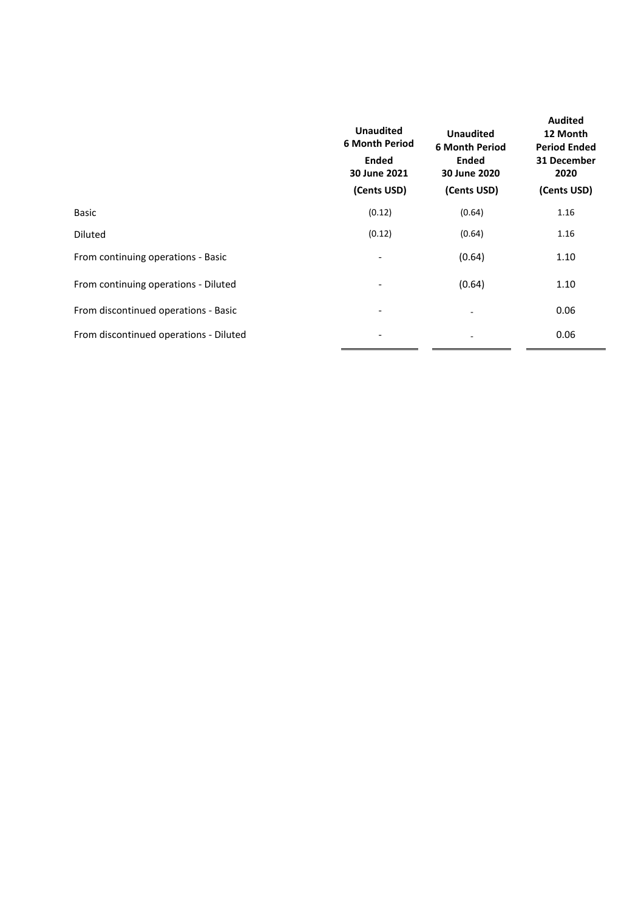| <b>Unaudited</b><br><b>6 Month Period</b><br><b>Ended</b><br>30 June 2021 | <b>Unaudited</b><br><b>6 Month Period</b><br><b>Ended</b><br>30 June 2020 | <b>Audited</b><br>12 Month<br><b>Period Ended</b><br>31 December<br>2020 |  |
|---------------------------------------------------------------------------|---------------------------------------------------------------------------|--------------------------------------------------------------------------|--|
| (Cents USD)                                                               | (Cents USD)                                                               | (Cents USD)                                                              |  |
| (0.12)                                                                    | (0.64)                                                                    | 1.16                                                                     |  |
| (0.12)                                                                    | (0.64)                                                                    | 1.16                                                                     |  |
|                                                                           | (0.64)                                                                    | 1.10                                                                     |  |
| $\overline{\phantom{a}}$                                                  | (0.64)                                                                    | 1.10                                                                     |  |
| $\overline{\phantom{a}}$                                                  | $\overline{\phantom{a}}$                                                  | 0.06                                                                     |  |
| $\overline{\phantom{0}}$                                                  | ٠                                                                         | 0.06                                                                     |  |
|                                                                           |                                                                           |                                                                          |  |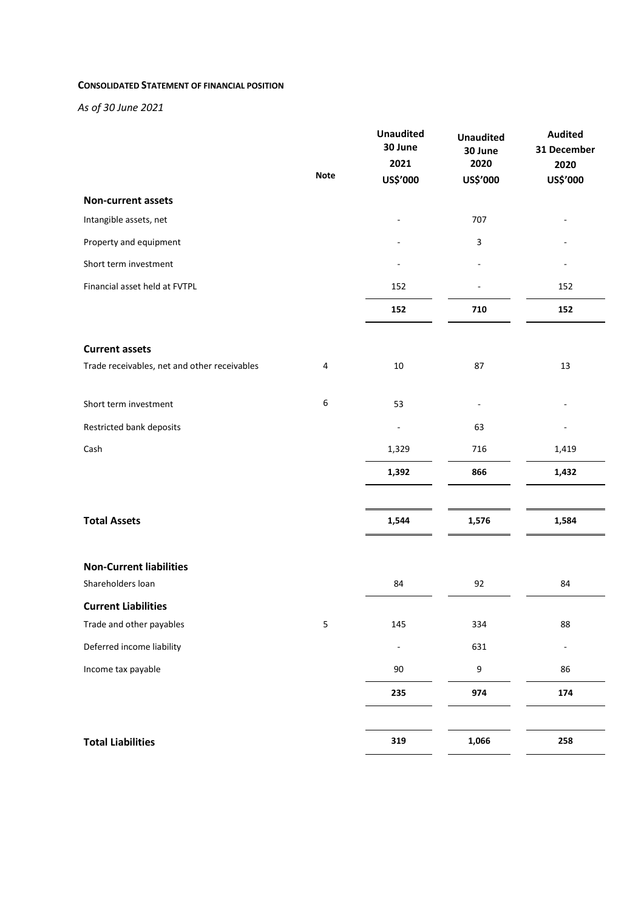#### **CONSOLIDATED STATEMENT OF FINANCIAL POSITION**

*As of 30 June 2021*

|                                              |             | <b>Unaudited</b><br>30 June | <b>Unaudited</b><br>30 June | <b>Audited</b><br>31 December |
|----------------------------------------------|-------------|-----------------------------|-----------------------------|-------------------------------|
|                                              |             | 2021                        | 2020                        | 2020                          |
|                                              | <b>Note</b> | US\$'000                    | US\$'000                    | US\$'000                      |
| <b>Non-current assets</b>                    |             |                             |                             |                               |
| Intangible assets, net                       |             |                             | 707                         |                               |
| Property and equipment                       |             |                             | 3                           |                               |
| Short term investment                        |             |                             |                             |                               |
| Financial asset held at FVTPL                |             | 152                         |                             | 152                           |
|                                              |             | 152                         | 710                         | 152                           |
| <b>Current assets</b>                        |             |                             |                             |                               |
| Trade receivables, net and other receivables | 4           | $10\,$                      | 87                          | 13                            |
| Short term investment                        | 6           | 53                          |                             |                               |
| Restricted bank deposits                     |             |                             | 63                          |                               |
| Cash                                         |             | 1,329                       | 716                         | 1,419                         |
|                                              |             | 1,392                       | 866                         | 1,432                         |
| <b>Total Assets</b>                          |             | 1,544                       | 1,576                       | 1,584                         |
|                                              |             |                             |                             |                               |
| <b>Non-Current liabilities</b>               |             |                             |                             |                               |
| Shareholders loan                            |             | 84                          | 92                          | 84                            |
| <b>Current Liabilities</b>                   |             |                             |                             |                               |
| Trade and other payables                     | 5           | 145                         | 334                         | 88                            |
| Deferred income liability                    |             | $\overline{a}$              | 631                         |                               |
| Income tax payable                           |             | $90\,$                      | 9                           | 86                            |
|                                              |             | 235                         | 974                         | 174                           |
| <b>Total Liabilities</b>                     |             | 319                         | 1,066                       | 258                           |
|                                              |             |                             |                             |                               |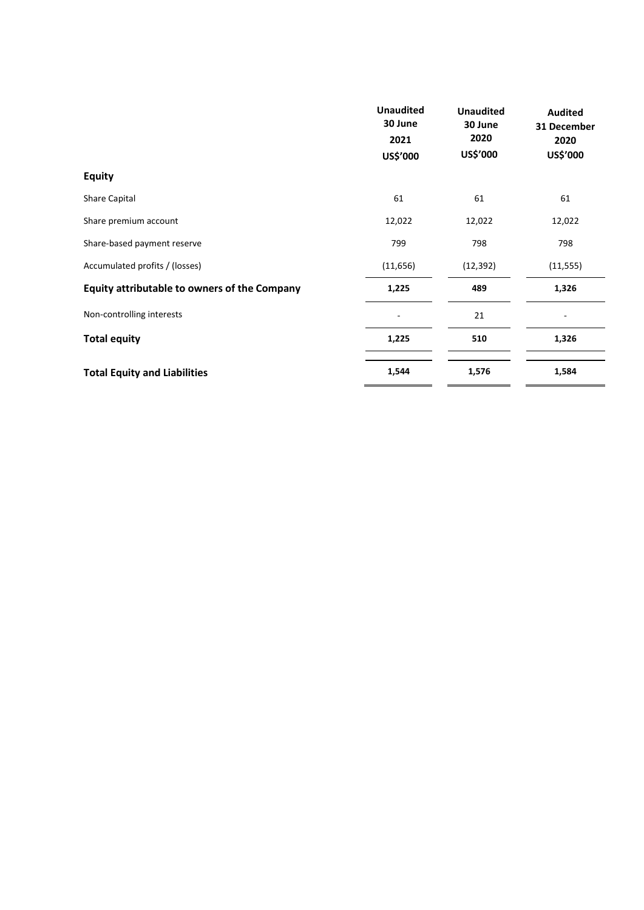|                                              | <b>Unaudited</b><br>30 June<br>2021<br>US\$'000 | <b>Unaudited</b><br>30 June<br>2020<br>US\$'000 | <b>Audited</b><br>31 December<br>2020<br>US\$'000 |
|----------------------------------------------|-------------------------------------------------|-------------------------------------------------|---------------------------------------------------|
| <b>Equity</b>                                |                                                 |                                                 |                                                   |
|                                              |                                                 |                                                 |                                                   |
| Share Capital                                | 61                                              | 61                                              | 61                                                |
| Share premium account                        | 12,022                                          | 12,022                                          | 12,022                                            |
| Share-based payment reserve                  | 799                                             | 798                                             | 798                                               |
| Accumulated profits / (losses)               | (11, 656)                                       | (12, 392)                                       | (11, 555)                                         |
| Equity attributable to owners of the Company | 1,225                                           | 489                                             | 1,326                                             |
| Non-controlling interests                    | L,                                              | 21                                              | ۰                                                 |
| <b>Total equity</b>                          | 1,225                                           | 510                                             | 1,326                                             |
|                                              |                                                 |                                                 |                                                   |
| <b>Total Equity and Liabilities</b>          | 1,544                                           | 1,576                                           | 1,584                                             |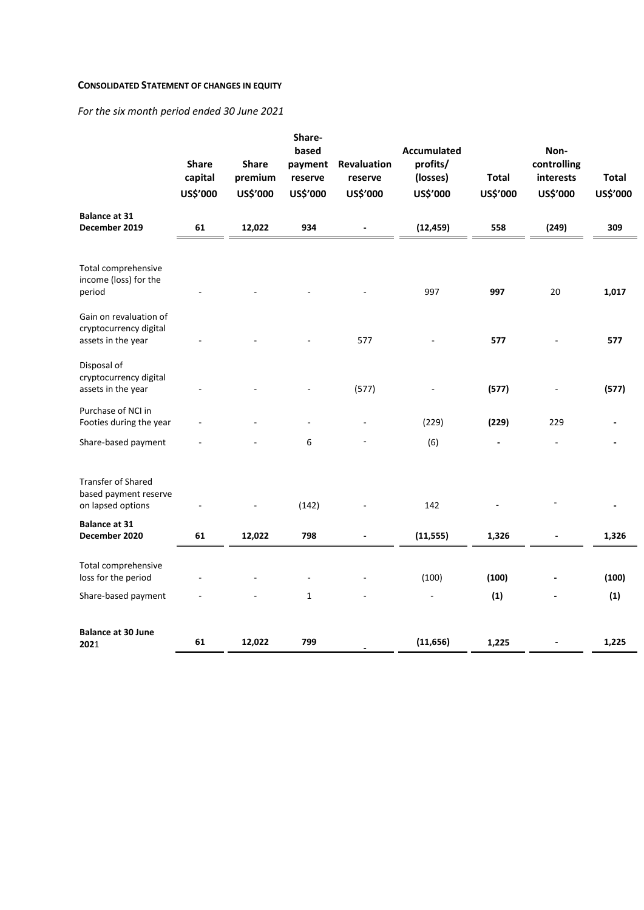### **CONSOLIDATED STATEMENT OF CHANGES IN EQUITY**

*For the six month period ended 30 June 2021*

|                                                                        | <b>Share</b><br>capital<br>US\$'000 | <b>Share</b><br>premium<br>US\$'000 | Share-<br>based<br>payment<br>reserve<br>US\$'000 | Revaluation<br>reserve<br>US\$'000 | <b>Accumulated</b><br>profits/<br>(losses)<br>US\$'000 | <b>Total</b><br>US\$'000 | Non-<br>controlling<br>interests<br>US\$'000 | <b>Total</b><br>US\$'000 |
|------------------------------------------------------------------------|-------------------------------------|-------------------------------------|---------------------------------------------------|------------------------------------|--------------------------------------------------------|--------------------------|----------------------------------------------|--------------------------|
| <b>Balance at 31</b><br>December 2019                                  | 61                                  | 12,022                              | 934                                               | $\blacksquare$                     | (12, 459)                                              | 558                      | (249)                                        | 309                      |
| Total comprehensive<br>income (loss) for the<br>period                 |                                     |                                     |                                                   |                                    | 997                                                    | 997                      | 20                                           | 1,017                    |
| Gain on revaluation of<br>cryptocurrency digital<br>assets in the year |                                     |                                     |                                                   | 577                                |                                                        | 577                      |                                              | 577                      |
| Disposal of<br>cryptocurrency digital<br>assets in the year            |                                     |                                     |                                                   | (577)                              |                                                        | (577)                    |                                              | (577)                    |
| Purchase of NCI in<br>Footies during the year                          |                                     |                                     |                                                   |                                    | (229)                                                  | (229)                    | 229                                          |                          |
| Share-based payment                                                    |                                     |                                     | 6                                                 |                                    | (6)                                                    |                          |                                              |                          |
| Transfer of Shared<br>based payment reserve<br>on lapsed options       |                                     |                                     | (142)                                             |                                    | 142                                                    |                          |                                              |                          |
| <b>Balance at 31</b><br>December 2020                                  | 61                                  | 12,022                              | 798                                               |                                    | (11, 555)                                              | 1,326                    |                                              | 1,326                    |
| Total comprehensive<br>loss for the period                             |                                     |                                     |                                                   |                                    | (100)                                                  | (100)                    |                                              | (100)                    |
| Share-based payment                                                    |                                     |                                     | $\mathbf{1}$                                      |                                    |                                                        | (1)                      |                                              | (1)                      |
| <b>Balance at 30 June</b><br>2021                                      | 61                                  | 12,022                              | 799                                               |                                    | (11, 656)                                              | 1,225                    |                                              | 1,225                    |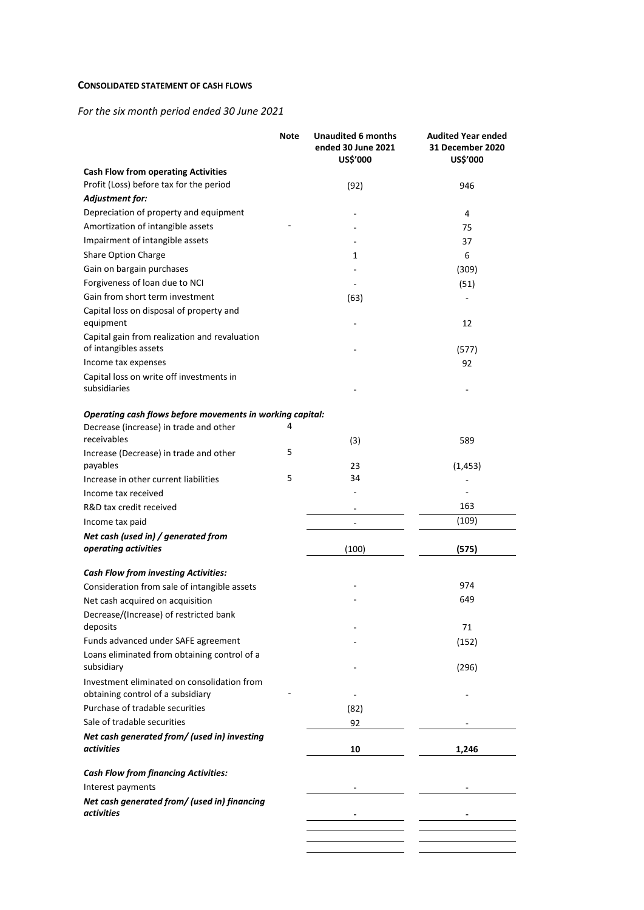### **CONSOLIDATED STATEMENT OF CASH FLOWS**

*For the six month period ended 30 June 2021*

|                                                                        | <b>Note</b> | <b>Unaudited 6 months</b><br>ended 30 June 2021<br>US\$'000 | <b>Audited Year ended</b><br>31 December 2020<br>US\$'000 |
|------------------------------------------------------------------------|-------------|-------------------------------------------------------------|-----------------------------------------------------------|
| <b>Cash Flow from operating Activities</b>                             |             |                                                             |                                                           |
| Profit (Loss) before tax for the period                                |             | (92)                                                        | 946                                                       |
| Adjustment for:                                                        |             |                                                             |                                                           |
| Depreciation of property and equipment                                 |             |                                                             | 4                                                         |
| Amortization of intangible assets                                      |             |                                                             | 75                                                        |
| Impairment of intangible assets                                        |             |                                                             | 37                                                        |
| <b>Share Option Charge</b>                                             |             | 1                                                           | 6                                                         |
| Gain on bargain purchases                                              |             |                                                             | (309)                                                     |
| Forgiveness of loan due to NCI                                         |             |                                                             | (51)                                                      |
| Gain from short term investment                                        |             | (63)                                                        |                                                           |
| Capital loss on disposal of property and<br>equipment                  |             |                                                             | 12                                                        |
| Capital gain from realization and revaluation<br>of intangibles assets |             |                                                             | (577)                                                     |
| Income tax expenses                                                    |             |                                                             | 92                                                        |
| Capital loss on write off investments in                               |             |                                                             |                                                           |
| subsidiaries                                                           |             |                                                             |                                                           |
| Operating cash flows before movements in working capital:              |             |                                                             |                                                           |
| Decrease (increase) in trade and other<br>receivables                  | 4           | (3)                                                         | 589                                                       |
| Increase (Decrease) in trade and other<br>payables                     | 5           | 23                                                          | (1, 453)                                                  |
| Increase in other current liabilities                                  | 5           | 34                                                          |                                                           |
| Income tax received                                                    |             |                                                             |                                                           |
| R&D tax credit received                                                |             |                                                             | 163                                                       |
| Income tax paid                                                        |             |                                                             | (109)                                                     |
| Net cash (used in) / generated from                                    |             |                                                             |                                                           |
| operating activities                                                   |             | (100)                                                       | (575)                                                     |
| <b>Cash Flow from investing Activities:</b>                            |             |                                                             |                                                           |
| Consideration from sale of intangible assets                           |             |                                                             | 974                                                       |
| Net cash acquired on acquisition                                       |             |                                                             | 649                                                       |
| Decrease/(Increase) of restricted bank<br>deposits                     |             |                                                             | 71                                                        |
| Funds advanced under SAFE agreement                                    |             |                                                             | (152)                                                     |
| Loans eliminated from obtaining control of a<br>subsidiary             |             |                                                             | (296)                                                     |
| Investment eliminated on consolidation from                            |             |                                                             |                                                           |
| obtaining control of a subsidiary                                      |             |                                                             |                                                           |
| Purchase of tradable securities                                        |             | (82)                                                        |                                                           |
| Sale of tradable securities                                            |             | 92                                                          |                                                           |
| Net cash generated from/ (used in) investing<br>activities             |             | 10                                                          | 1,246                                                     |
| <b>Cash Flow from financing Activities:</b>                            |             |                                                             |                                                           |
| Interest payments                                                      |             |                                                             |                                                           |
| Net cash generated from/ (used in) financing<br><i>activities</i>      |             |                                                             |                                                           |
|                                                                        |             |                                                             |                                                           |
|                                                                        |             |                                                             |                                                           |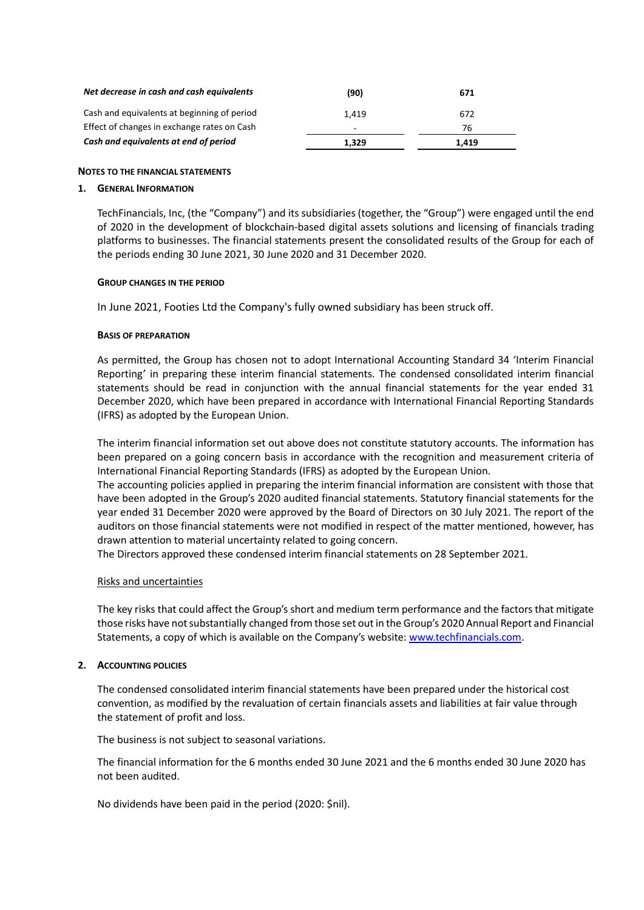| Net decrease in cash and cash equivalents   | (90)  | 671   |
|---------------------------------------------|-------|-------|
| Cash and equivalents at beginning of period | 1.419 | 672   |
| Effect of changes in exchange rates on Cash | -     | 76    |
| Cash and equivalents at end of period       | 1.329 | 1.419 |

### **NOTES TO THE FINANCIAL STATEMENTS**

### **1. GENERAL INFORMATION**

TechFinancials, Inc, (the "Company") and its subsidiaries (together, the "Group") were engaged until the end of 2020 in the development of blockchain-based digital assets solutions and licensing of financials trading platforms to businesses. The financial statements present the consolidated results of the Group for each of the periods ending 30 June 2021, 30 June 2020 and 31 December 2020.

### **GROUP CHANGES IN THE PERIOD**

In June 2021, Footies Ltd the Company's fully owned subsidiary has been struck off.

### **BASIS OF PREPARATION**

As permitted, the Group has chosen not to adopt International Accounting Standard 34 'Interim Financial Reporting' in preparing these interim financial statements. The condensed consolidated interim financial statements should be read in conjunction with the annual financial statements for the year ended 31 December 2020, which have been prepared in accordance with International Financial Reporting Standards (IFRS) as adopted by the European Union.

The interim financial information set out above does not constitute statutory accounts. The information has been prepared on a going concern basis in accordance with the recognition and measurement criteria of International Financial Reporting Standards (IFRS) as adopted by the European Union.

The accounting policies applied in preparing the interim financial information are consistent with those that have been adopted in the Group's 2020 audited financial statements. Statutory financial statements for the year ended 31 December 2020 were approved by the Board of Directors on 30 July 2021. The report of the auditors on those financial statements were not modified in respect of the matter mentioned, however, has drawn attention to material uncertainty related to going concern.

The Directors approved these condensed interim financial statements on 28 September 2021.

# Risks and uncertainties

The key risks that could affect the Group's short and medium term performance and the factors that mitigate those risks have not substantially changed from those set out in the Group's 2020 Annual Report and Financial Statements, a copy of which is available on the Company's website[: www.techfinancials.com.](http://www.techfinancials.com/)

### **2. ACCOUNTING POLICIES**

The condensed consolidated interim financial statements have been prepared under the historical cost convention, as modified by the revaluation of certain financials assets and liabilities at fair value through the statement of profit and loss.

The business is not subject to seasonal variations.

The financial information for the 6 months ended 30 June 2021 and the 6 months ended 30 June 2020 has not been audited.

No dividends have been paid in the period (2020: \$nil).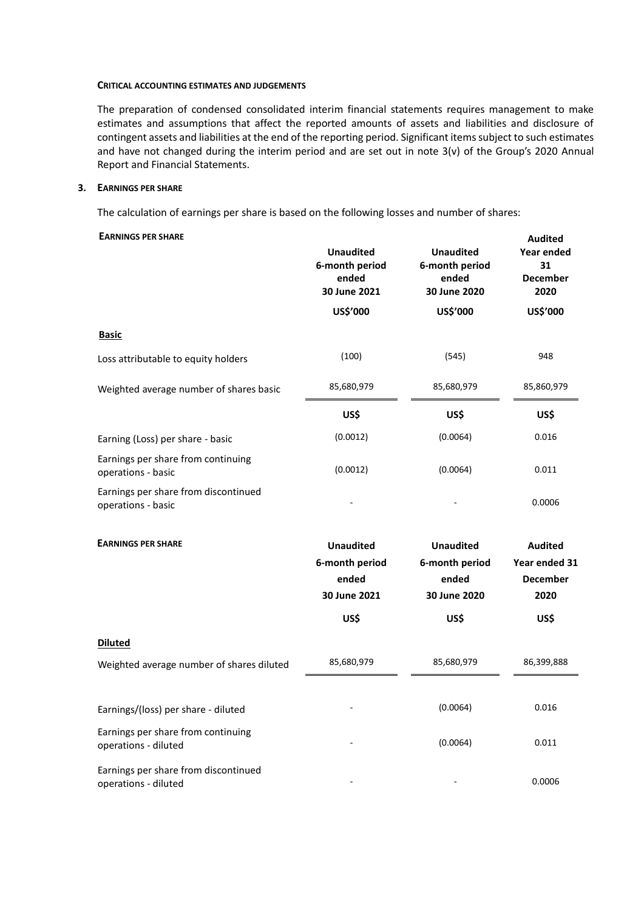#### **CRITICAL ACCOUNTING ESTIMATES AND JUDGEMENTS**

The preparation of condensed consolidated interim financial statements requires management to make estimates and assumptions that affect the reported amounts of assets and liabilities and disclosure of contingent assets and liabilities at the end of the reporting period. Significant items subject to such estimates and have not changed during the interim period and are set out in note 3(v) of the Group's 2020 Annual Report and Financial Statements.

#### **3. EARNINGS PER SHARE**

The calculation of earnings per share is based on the following losses and number of shares:

#### **EARNINGS PER SHARE**

| <b>EARNINGS PER SHARE</b>                                    | <b>Unaudited</b><br>6-month period<br>ended<br>30 June 2021 | <b>Unaudited</b><br>6-month period<br>ended<br>30 June 2020 | <b>Audited</b><br><b>Year ended</b><br>31<br><b>December</b><br>2020 |
|--------------------------------------------------------------|-------------------------------------------------------------|-------------------------------------------------------------|----------------------------------------------------------------------|
|                                                              | US\$'000                                                    | US\$'000                                                    | US\$'000                                                             |
| <b>Basic</b>                                                 |                                                             |                                                             |                                                                      |
| Loss attributable to equity holders                          | (100)                                                       | (545)                                                       | 948                                                                  |
| Weighted average number of shares basic                      | 85,680,979                                                  | 85,680,979                                                  | 85,860,979                                                           |
|                                                              | US\$                                                        | US\$                                                        | US\$                                                                 |
| Earning (Loss) per share - basic                             | (0.0012)                                                    | (0.0064)                                                    | 0.016                                                                |
| Earnings per share from continuing<br>operations - basic     | (0.0012)                                                    | (0.0064)                                                    | 0.011                                                                |
| Earnings per share from discontinued<br>operations - basic   |                                                             |                                                             | 0.0006                                                               |
| <b>EARNINGS PER SHARE</b>                                    | <b>Unaudited</b><br>6-month period<br>ended<br>30 June 2021 | <b>Unaudited</b><br>6-month period<br>ended<br>30 June 2020 | <b>Audited</b><br>Year ended 31<br><b>December</b><br>2020           |
|                                                              | US\$                                                        | US\$                                                        | US\$                                                                 |
| Diluted                                                      |                                                             |                                                             |                                                                      |
| Weighted average number of shares diluted                    | 85,680,979                                                  | 85,680,979                                                  | 86,399,888                                                           |
| Earnings/(loss) per share - diluted                          |                                                             | (0.0064)                                                    | 0.016                                                                |
| Earnings per share from continuing<br>operations - diluted   |                                                             | (0.0064)                                                    | 0.011                                                                |
| Earnings per share from discontinued<br>operations - diluted |                                                             |                                                             | 0.0006                                                               |